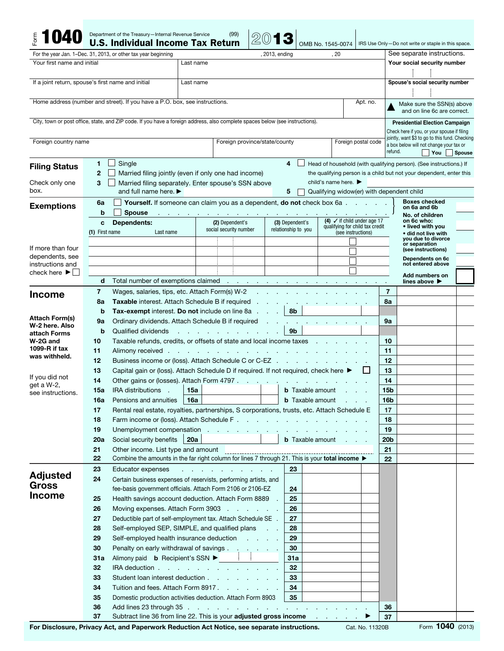|                                                                                        |                        | Department of the Treasury-Internal Revenue Service<br><b>U.S. Individual Income Tax Return</b>                                                                                                                               |                                                                                    | (99)                            |                             |                     |                                 | OMB No. 1545-0074                                     |                     |                       | IRS Use Only-Do not write or staple in this space.                                        |               |  |
|----------------------------------------------------------------------------------------|------------------------|-------------------------------------------------------------------------------------------------------------------------------------------------------------------------------------------------------------------------------|------------------------------------------------------------------------------------|---------------------------------|-----------------------------|---------------------|---------------------------------|-------------------------------------------------------|---------------------|-----------------------|-------------------------------------------------------------------------------------------|---------------|--|
| For the year Jan. 1-Dec. 31, 2013, or other tax year beginning                         | , 2013, ending<br>. 20 |                                                                                                                                                                                                                               |                                                                                    | See separate instructions.      |                             |                     |                                 |                                                       |                     |                       |                                                                                           |               |  |
| Your first name and initial                                                            | Last name              |                                                                                                                                                                                                                               |                                                                                    |                                 | Your social security number |                     |                                 |                                                       |                     |                       |                                                                                           |               |  |
|                                                                                        |                        |                                                                                                                                                                                                                               |                                                                                    |                                 |                             |                     |                                 |                                                       |                     |                       |                                                                                           |               |  |
| If a joint return, spouse's first name and initial                                     |                        |                                                                                                                                                                                                                               |                                                                                    |                                 |                             |                     | Spouse's social security number |                                                       |                     |                       |                                                                                           |               |  |
|                                                                                        |                        |                                                                                                                                                                                                                               |                                                                                    |                                 |                             |                     |                                 |                                                       |                     |                       |                                                                                           |               |  |
|                                                                                        |                        | Home address (number and street). If you have a P.O. box, see instructions.                                                                                                                                                   |                                                                                    |                                 |                             |                     |                                 |                                                       | Apt. no.            |                       | Make sure the SSN(s) above                                                                |               |  |
|                                                                                        |                        |                                                                                                                                                                                                                               |                                                                                    |                                 |                             |                     |                                 |                                                       |                     |                       | and on line 6c are correct.                                                               |               |  |
|                                                                                        |                        | City, town or post office, state, and ZIP code. If you have a foreign address, also complete spaces below (see instructions).                                                                                                 |                                                                                    |                                 |                             |                     |                                 |                                                       |                     |                       | <b>Presidential Election Campaign</b>                                                     |               |  |
|                                                                                        |                        |                                                                                                                                                                                                                               |                                                                                    |                                 |                             |                     |                                 |                                                       |                     |                       | Check here if you, or your spouse if filing                                               |               |  |
| Foreign country name                                                                   |                        |                                                                                                                                                                                                                               |                                                                                    | Foreign province/state/county   |                             |                     |                                 |                                                       | Foreign postal code |                       | jointly, want \$3 to go to this fund. Checking<br>a box below will not change your tax or |               |  |
|                                                                                        |                        |                                                                                                                                                                                                                               |                                                                                    |                                 |                             |                     |                                 |                                                       |                     | refund.               | You                                                                                       | <b>Spouse</b> |  |
|                                                                                        | 1                      | Single                                                                                                                                                                                                                        |                                                                                    |                                 |                             | 4                   |                                 |                                                       |                     |                       | Head of household (with qualifying person). (See instructions.) If                        |               |  |
| <b>Filing Status</b>                                                                   | $\mathbf{2}$           | Married filing jointly (even if only one had income)<br>the qualifying person is a child but not your dependent, enter this                                                                                                   |                                                                                    |                                 |                             |                     |                                 |                                                       |                     |                       |                                                                                           |               |  |
| Check only one                                                                         | 3                      | child's name here. $\blacktriangleright$<br>Married filing separately. Enter spouse's SSN above                                                                                                                               |                                                                                    |                                 |                             |                     |                                 |                                                       |                     |                       |                                                                                           |               |  |
| box.                                                                                   |                        | and full name here. $\blacktriangleright$<br>5<br>Qualifying widow(er) with dependent child                                                                                                                                   |                                                                                    |                                 |                             |                     |                                 |                                                       |                     |                       |                                                                                           |               |  |
| <b>Exemptions</b>                                                                      | 6a                     | Yourself. If someone can claim you as a dependent, do not check box 6a                                                                                                                                                        |                                                                                    |                                 |                             |                     |                                 |                                                       |                     |                       | <b>Boxes checked</b>                                                                      |               |  |
|                                                                                        | b                      | <b>Spouse</b>                                                                                                                                                                                                                 |                                                                                    |                                 |                             |                     |                                 |                                                       |                     |                       | on 6a and 6b<br>No. of children                                                           |               |  |
|                                                                                        | Dependents:<br>C       |                                                                                                                                                                                                                               | (2) Dependent's                                                                    |                                 |                             | (3) Dependent's     |                                 | (4) $\checkmark$ if child under age 17                |                     |                       | on 6c who:                                                                                |               |  |
|                                                                                        | (1) First name         | Last name                                                                                                                                                                                                                     | social security number                                                             |                                 |                             | relationship to you |                                 | qualifying for child tax credit<br>(see instructions) |                     |                       | • lived with you<br>• did not live with                                                   |               |  |
|                                                                                        |                        |                                                                                                                                                                                                                               |                                                                                    |                                 |                             |                     |                                 |                                                       |                     |                       | you due to divorce<br>or separation                                                       |               |  |
| If more than four<br>dependents, see                                                   |                        |                                                                                                                                                                                                                               |                                                                                    |                                 |                             |                     |                                 |                                                       |                     |                       | (see instructions)                                                                        |               |  |
| instructions and                                                                       |                        |                                                                                                                                                                                                                               |                                                                                    |                                 |                             |                     |                                 |                                                       |                     |                       | Dependents on 6c<br>not entered above                                                     |               |  |
| check here $\blacktriangleright$                                                       |                        |                                                                                                                                                                                                                               |                                                                                    |                                 |                             |                     |                                 |                                                       |                     |                       | Add numbers on                                                                            |               |  |
|                                                                                        | d                      | Total number of exemptions claimed<br>$\sim$<br>the control of the control of the                                                                                                                                             |                                                                                    |                                 |                             |                     |                                 |                                                       |                     |                       | lines above ▶                                                                             |               |  |
| <b>Income</b>                                                                          | $\overline{7}$         | Wages, salaries, tips, etc. Attach Form(s) W-2                                                                                                                                                                                |                                                                                    |                                 |                             |                     |                                 |                                                       |                     | 7                     |                                                                                           |               |  |
|                                                                                        | 8a                     | Taxable interest. Attach Schedule B if required                                                                                                                                                                               |                                                                                    |                                 |                             |                     |                                 |                                                       |                     | 8a                    |                                                                                           |               |  |
|                                                                                        | b                      | Tax-exempt interest. Do not include on line 8a                                                                                                                                                                                |                                                                                    |                                 |                             | 8b                  |                                 |                                                       |                     |                       |                                                                                           |               |  |
| <b>Attach Form(s)</b><br>W-2 here. Also                                                | 9a                     | Ordinary dividends. Attach Schedule B if required                                                                                                                                                                             |                                                                                    |                                 |                             |                     |                                 |                                                       |                     | 9а                    |                                                                                           |               |  |
| attach Forms                                                                           | b                      | 9 <sub>b</sub><br>Qualified dividends<br>and a straight and a straight and a                                                                                                                                                  |                                                                                    |                                 |                             |                     |                                 |                                                       |                     |                       |                                                                                           |               |  |
| Taxable refunds, credits, or offsets of state and local income taxes<br>W-2G and<br>10 |                        |                                                                                                                                                                                                                               |                                                                                    |                                 |                             |                     |                                 |                                                       |                     | 10                    |                                                                                           |               |  |
| 1099- $R$ if tax<br>was withheld.                                                      | 11                     | Alimony received<br>the control of the control of the control of<br>and the state of the state of                                                                                                                             |                                                                                    |                                 |                             |                     |                                 |                                                       |                     | 11                    |                                                                                           |               |  |
|                                                                                        | 12                     | Business income or (loss). Attach Schedule C or C-EZ<br>$\mathbf{r}$<br><b>Contract Contract</b>                                                                                                                              |                                                                                    |                                 |                             |                     |                                 |                                                       |                     |                       |                                                                                           |               |  |
| If you did not                                                                         | 13                     | Capital gain or (loss). Attach Schedule D if required. If not required, check here ▶                                                                                                                                          |                                                                                    |                                 |                             |                     |                                 |                                                       |                     | 13                    |                                                                                           |               |  |
| get a W-2,                                                                             | 14                     | Other gains or (losses). Attach Form 4797.                                                                                                                                                                                    |                                                                                    |                                 | and the company's           |                     |                                 |                                                       |                     | 14                    |                                                                                           |               |  |
| see instructions.                                                                      | 15a                    | <b>IRA</b> distributions<br>÷.                                                                                                                                                                                                | 15a                                                                                |                                 |                             |                     | <b>b</b> Taxable amount         |                                                       |                     | 15 <sub>b</sub>       |                                                                                           |               |  |
|                                                                                        | 16a                    | Pensions and annuities                                                                                                                                                                                                        | 16a                                                                                |                                 |                             |                     |                                 | <b>b</b> Taxable amount                               |                     | 16b                   |                                                                                           |               |  |
|                                                                                        | 17                     | Rental real estate, royalties, partnerships, S corporations, trusts, etc. Attach Schedule E                                                                                                                                   |                                                                                    |                                 |                             |                     |                                 |                                                       |                     | 17                    |                                                                                           |               |  |
|                                                                                        | 18                     | Farm income or (loss). Attach Schedule F.<br>Unemployment compensation                                                                                                                                                        |                                                                                    |                                 |                             |                     |                                 |                                                       | 18                  |                       |                                                                                           |               |  |
|                                                                                        | 19                     |                                                                                                                                                                                                                               |                                                                                    |                                 |                             |                     |                                 |                                                       |                     | 19                    |                                                                                           |               |  |
|                                                                                        | 20a<br>21              | Social security benefits<br>Other income. List type and amount                                                                                                                                                                | 20a                                                                                |                                 |                             |                     |                                 | <b>b</b> Taxable amount                               |                     | 20 <sub>b</sub><br>21 |                                                                                           |               |  |
|                                                                                        | 22                     | Combine the amounts in the far right column for lines 7 through 21. This is your total income ▶                                                                                                                               |                                                                                    |                                 |                             |                     |                                 |                                                       |                     | 22                    |                                                                                           |               |  |
|                                                                                        | 23                     | Educator expenses                                                                                                                                                                                                             |                                                                                    | and a series of the contract of |                             | 23                  |                                 |                                                       |                     |                       |                                                                                           |               |  |
| <b>Adjusted</b>                                                                        | 24                     | Certain business expenses of reservists, performing artists, and                                                                                                                                                              |                                                                                    |                                 |                             |                     |                                 |                                                       |                     |                       |                                                                                           |               |  |
| Gross                                                                                  |                        | fee-basis government officials. Attach Form 2106 or 2106-EZ                                                                                                                                                                   |                                                                                    |                                 |                             | 24                  |                                 |                                                       |                     |                       |                                                                                           |               |  |
| <b>Income</b>                                                                          | 25                     | Health savings account deduction. Attach Form 8889 .                                                                                                                                                                          |                                                                                    |                                 |                             | 25                  |                                 |                                                       |                     |                       |                                                                                           |               |  |
|                                                                                        | 26                     | Moving expenses. Attach Form 3903                                                                                                                                                                                             |                                                                                    |                                 |                             | 26                  |                                 |                                                       |                     |                       |                                                                                           |               |  |
|                                                                                        | 27                     |                                                                                                                                                                                                                               |                                                                                    |                                 |                             | 27                  |                                 |                                                       |                     |                       |                                                                                           |               |  |
|                                                                                        | 28                     | Deductible part of self-employment tax. Attach Schedule SE .<br>Self-employed SEP, SIMPLE, and qualified plans                                                                                                                |                                                                                    |                                 | 28                          |                     |                                 |                                                       |                     |                       |                                                                                           |               |  |
|                                                                                        | 29                     |                                                                                                                                                                                                                               | Self-employed health insurance deduction<br>Penalty on early withdrawal of savings |                                 |                             |                     | 29                              |                                                       |                     |                       |                                                                                           |               |  |
|                                                                                        | 30                     |                                                                                                                                                                                                                               |                                                                                    |                                 |                             |                     | 30                              |                                                       |                     |                       |                                                                                           |               |  |
|                                                                                        | 31a                    |                                                                                                                                                                                                                               | Alimony paid <b>b</b> Recipient's SSN ▶ │ │                                        |                                 |                             |                     | 31a                             |                                                       |                     |                       |                                                                                           |               |  |
|                                                                                        | 32                     | IRA deduction                                                                                                                                                                                                                 |                                                                                    |                                 |                             | 32                  |                                 |                                                       |                     |                       |                                                                                           |               |  |
|                                                                                        | 33                     | Student loan interest deduction                                                                                                                                                                                               |                                                                                    |                                 |                             | 33                  |                                 |                                                       |                     |                       |                                                                                           |               |  |
|                                                                                        | 34                     | Tuition and fees. Attach Form 8917.                                                                                                                                                                                           |                                                                                    |                                 |                             | 34                  |                                 |                                                       |                     |                       |                                                                                           |               |  |
|                                                                                        | 35                     | Domestic production activities deduction. Attach Form 8903                                                                                                                                                                    |                                                                                    |                                 |                             | 35                  |                                 |                                                       |                     |                       |                                                                                           |               |  |
|                                                                                        | 36                     | Add lines 23 through 35 (exercise contract of the contract of the contract of the contract of the contract of the contract of the contract of the contract of the contract of the contract of the contract of the contract of |                                                                                    |                                 |                             |                     |                                 |                                                       |                     | 36                    |                                                                                           |               |  |
|                                                                                        | 37                     | Subtract line 36 from line 22. This is your adjusted gross income                                                                                                                                                             |                                                                                    |                                 |                             |                     |                                 |                                                       |                     | 37                    | ,,,,                                                                                      |               |  |